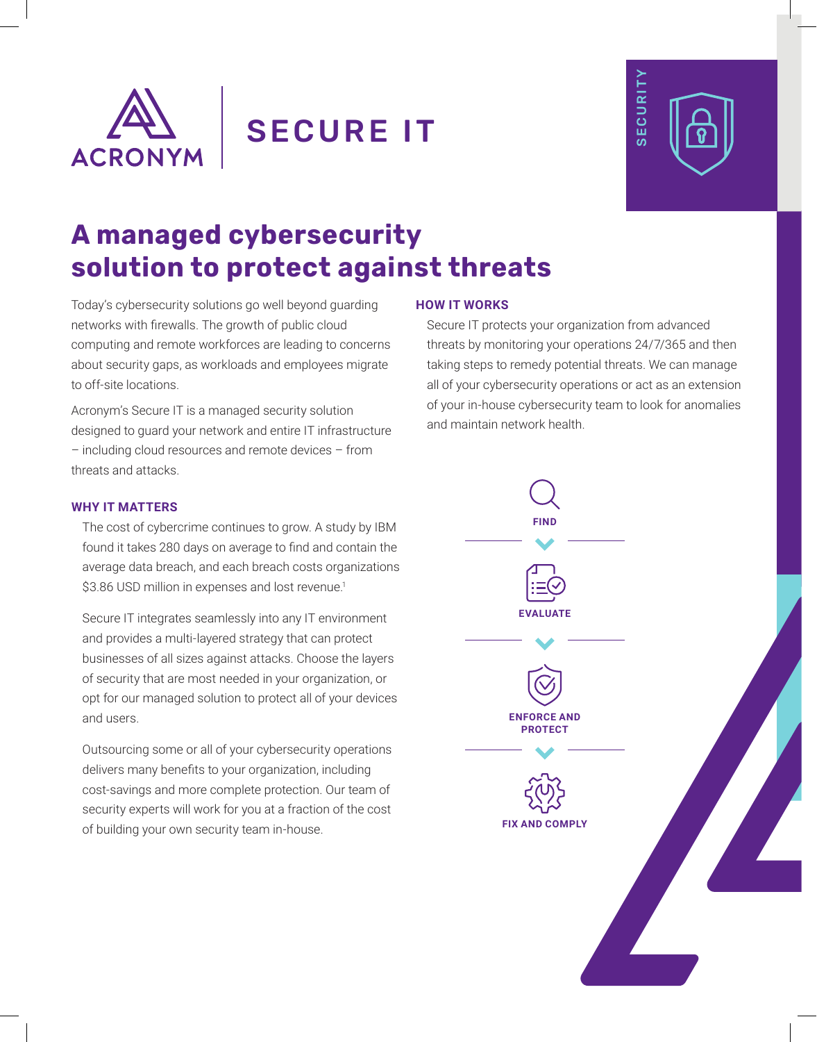

SECURE IT



# **A managed cybersecurity solution to protect against threats**

Today's cybersecurity solutions go well beyond guarding networks with firewalls. The growth of public cloud computing and remote workforces are leading to concerns about security gaps, as workloads and employees migrate to off-site locations.

Acronym's Secure IT is a managed security solution designed to guard your network and entire IT infrastructure – including cloud resources and remote devices – from threats and attacks.

## **WHY IT MATTERS**

The cost of cybercrime continues to grow. A study by IBM found it takes 280 days on average to find and contain the average data breach, and each breach costs organizations \$3.86 USD million in expenses and lost revenue.<sup>1</sup>

Secure IT integrates seamlessly into any IT environment and provides a multi-layered strategy that can protect businesses of all sizes against attacks. Choose the layers of security that are most needed in your organization, or opt for our managed solution to protect all of your devices and users.

Outsourcing some or all of your cybersecurity operations delivers many benefits to your organization, including cost-savings and more complete protection. Our team of security experts will work for you at a fraction of the cost of building your own security team in-house.

### **HOW IT WORKS**

Secure IT protects your organization from advanced threats by monitoring your operations 24/7/365 and then taking steps to remedy potential threats. We can manage all of your cybersecurity operations or act as an extension of your in-house cybersecurity team to look for anomalies and maintain network health.